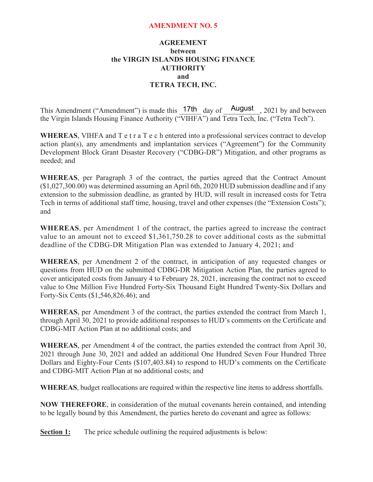## **AMENDMENT NO. 5**

## **AGREEMENT between the VIRGIN ISLANDS HOUSING FINANCE AUTHORITY and TETRA TECH, INC.**

This Amendment ("Amendment") is made this  $\frac{17 \text{th}}{\text{day of}}$  August, 2021 by and between the Virgin Islands Housing Finance Authority ("VIHFA") and Tetra Tech, Inc. ("Tetra Tech").

**WHEREAS**, VIHFA and T e t r a T e c h entered into a professional services contract to develop action plan(s), any amendments and implantation services ("Agreement") for the Community Development Block Grant Disaster Recovery ("CDBG-DR") Mitigation, and other programs as needed; and

**WHEREAS**, per Paragraph 3 of the contract, the parties agreed that the Contract Amount (\$1,027,300.00) was determined assuming an April 6th, 2020 HUD submission deadline and if any extension to the submission deadline, as granted by HUD, will result in increased costs for Tetra Tech in terms of additional staff time, housing, travel and other expenses (the "Extension Costs"); and

**WHEREAS**, per Amendment 1 of the contract, the parties agreed to increase the contract value to an amount not to exceed \$1,361,750.28 to cover additional costs as the submittal deadline of the CDBG-DR Mitigation Plan was extended to January 4, 2021; and

**WHEREAS**, per Amendment 2 of the contract, in anticipation of any requested changes or questions from HUD on the submitted CDBG-DR Mitigation Action Plan, the parties agreed to cover anticipated costs from January 4 to February 28, 2021, increasing the contract not to exceed value to One Million Five Hundred Forty-Six Thousand Eight Hundred Twenty-Six Dollars and Forty-Six Cents (\$1,546,826.46); and

**WHEREAS**, per Amendment 3 of the contract, the parties extended the contract from March 1, through April 30, 2021 to provide additional responses to HUD's comments on the Certificate and CDBG-MIT Action Plan at no additional costs; and

**WHEREAS**, per Amendment 4 of the contract, the parties extended the contract from April 30, 2021 through June 30, 2021 and added an additional One Hundred Seven Four Hundred Three Dollars and Eighty-Four Cents (\$107,403.84) to respond to HUD's comments on the Certificate and CDBG-MIT Action Plan at no additional costs; and

**WHEREAS**, budget reallocations are required within the respective line items to address shortfalls.

**NOW THEREFORE**, in consideration of the mutual covenants herein contained, and intending to be legally bound by this Amendment, the parties hereto do covenant and agree as follows:

**Section 1:** The price schedule outlining the required adjustments is below: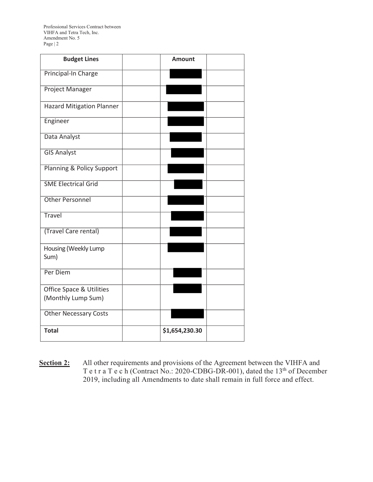Professional Services Contract between VIHFA and Tetra Tech, Inc. Amendment No. 5 Page | 2

| <b>Budget Lines</b>                  | <b>Amount</b>  |  |
|--------------------------------------|----------------|--|
| Principal-In Charge                  |                |  |
| <b>Project Manager</b>               |                |  |
| <b>Hazard Mitigation Planner</b>     |                |  |
| Engineer                             |                |  |
| Data Analyst                         |                |  |
| <b>GIS Analyst</b>                   |                |  |
| <b>Planning &amp; Policy Support</b> |                |  |
| <b>SME Electrical Grid</b>           |                |  |
| <b>Other Personnel</b>               |                |  |
| Travel                               |                |  |
| (Travel Care rental)                 |                |  |
| Housing (Weekly Lump<br>Sum)         |                |  |
| Per Diem                             |                |  |
| Office Space & Utilities             |                |  |
| (Monthly Lump Sum)                   |                |  |
| <b>Other Necessary Costs</b>         |                |  |
| <b>Total</b>                         | \$1,654,230.30 |  |

**Section 2:** All other requirements and provisions of the Agreement between the VIHFA and T e t r a T e c h (Contract No.: 2020-CDBG-DR-001), dated the  $13<sup>th</sup>$  of December 2019, including all Amendments to date shall remain in full force and effect.